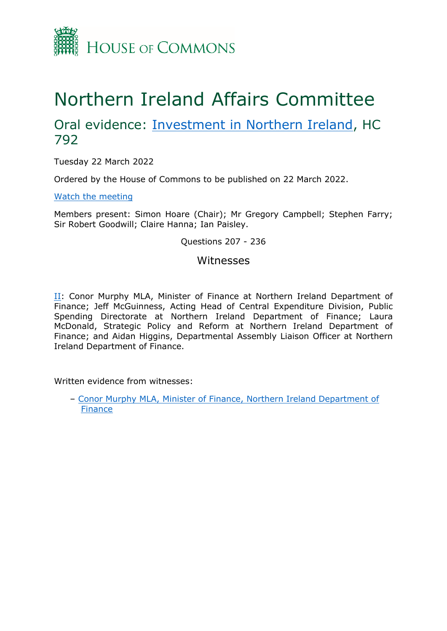

# Northern Ireland Affairs Committee

## Oral evidence: [Investment](https://committees.parliament.uk/work/1550/investment-in-northern-ireland/) [in](https://committees.parliament.uk/work/1550/investment-in-northern-ireland/) [Northern](https://committees.parliament.uk/work/1550/investment-in-northern-ireland/) [Ireland](https://committees.parliament.uk/work/1550/investment-in-northern-ireland/), HC 792

Tuesday 22 March 2022

Ordered by the House of Commons to be published on 22 March 2022.

[Watch](https://parliamentlive.tv/event/index/21e011dc-4136-412b-a66c-babd7d2395b3) [the](https://parliamentlive.tv/event/index/21e011dc-4136-412b-a66c-babd7d2395b3) [meeting](https://parliamentlive.tv/event/index/21e011dc-4136-412b-a66c-babd7d2395b3)

Members present: Simon Hoare (Chair); Mr Gregory Campbell; Stephen Farry; Sir Robert Goodwill; Claire Hanna; Ian Paisley.

## Questions 207 - 236

## Witnesses

[II](#page-1-0): Conor Murphy MLA, Minister of Finance at Northern Ireland Department of Finance; Jeff McGuinness, Acting Head of Central Expenditure Division, Public Spending Directorate at Northern Ireland Department of Finance; Laura McDonald, Strategic Policy and Reform at Northern Ireland Department of Finance; and Aidan Higgins, Departmental Assembly Liaison Officer at Northern Ireland Department of Finance.

Written evidence from witnesses:

– [Conor](https://committees.parliament.uk/writtenevidence/41941/html/) [Murphy](https://committees.parliament.uk/writtenevidence/41941/html/) [MLA,](https://committees.parliament.uk/writtenevidence/41941/html/) [Minister](https://committees.parliament.uk/writtenevidence/41941/html/) [of](https://committees.parliament.uk/writtenevidence/41941/html/) [Finance,](https://committees.parliament.uk/writtenevidence/41941/html/) [Northern](https://committees.parliament.uk/writtenevidence/41941/html/) [Ireland](https://committees.parliament.uk/writtenevidence/41941/html/) [Department](https://committees.parliament.uk/writtenevidence/41941/html/) [of](https://committees.parliament.uk/writtenevidence/41941/html/) [Finance](https://committees.parliament.uk/writtenevidence/41941/html/)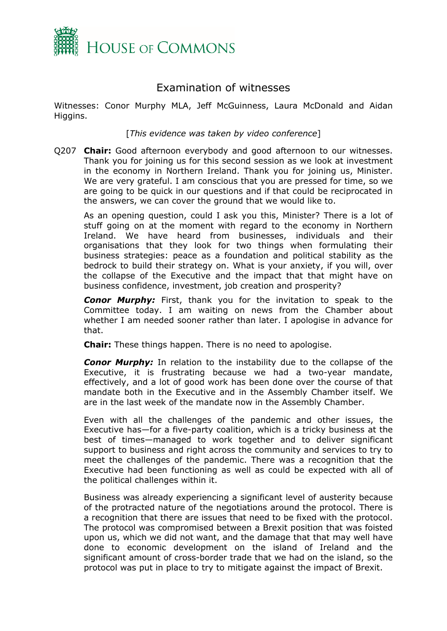

## <span id="page-1-0"></span>Examination of witnesses

Witnesses: Conor Murphy MLA, Jeff McGuinness, Laura McDonald and Aidan Higgins.

[*This evidence was taken by video conference*]

Q207 **Chair:** Good afternoon everybody and good afternoon to our witnesses. Thank you for joining us for this second session as we look at investment in the economy in Northern Ireland. Thank you for joining us, Minister. We are very grateful. I am conscious that you are pressed for time, so we are going to be quick in our questions and if that could be reciprocated in the answers, we can cover the ground that we would like to.

As an opening question, could I ask you this, Minister? There is a lot of stuff going on at the moment with regard to the economy in Northern Ireland. We have heard from businesses, individuals and their organisations that they look for two things when formulating their business strategies: peace as a foundation and political stability as the bedrock to build their strategy on. What is your anxiety, if you will, over the collapse of the Executive and the impact that that might have on business confidence, investment, job creation and prosperity?

*Conor Murphy:* First, thank you for the invitation to speak to the Committee today. I am waiting on news from the Chamber about whether I am needed sooner rather than later. I apologise in advance for that.

**Chair:** These things happen. There is no need to apologise.

*Conor Murphy:* In relation to the instability due to the collapse of the Executive, it is frustrating because we had a two-year mandate, effectively, and a lot of good work has been done over the course of that mandate both in the Executive and in the Assembly Chamber itself. We are in the last week of the mandate now in the Assembly Chamber.

Even with all the challenges of the pandemic and other issues, the Executive has—for a five-party coalition, which is a tricky business at the best of times—managed to work together and to deliver significant support to business and right across the community and services to try to meet the challenges of the pandemic. There was a recognition that the Executive had been functioning as well as could be expected with all of the political challenges within it.

Business was already experiencing a significant level of austerity because of the protracted nature of the negotiations around the protocol. There is a recognition that there are issues that need to be fixed with the protocol. The protocol was compromised between a Brexit position that was foisted upon us, which we did not want, and the damage that that may well have done to economic development on the island of Ireland and the significant amount of cross-border trade that we had on the island, so the protocol was put in place to try to mitigate against the impact of Brexit.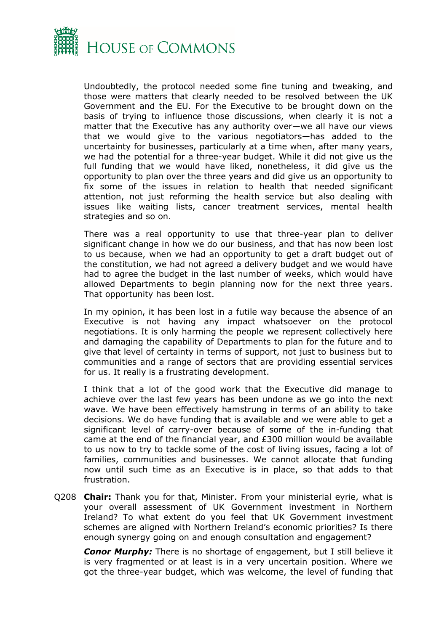

Undoubtedly, the protocol needed some fine tuning and tweaking, and those were matters that clearly needed to be resolved between the UK Government and the EU. For the Executive to be brought down on the basis of trying to influence those discussions, when clearly it is not a matter that the Executive has any authority over—we all have our views that we would give to the various negotiators—has added to the uncertainty for businesses, particularly at a time when, after many years, we had the potential for a three-year budget. While it did not give us the full funding that we would have liked, nonetheless, it did give us the opportunity to plan over the three years and did give us an opportunity to fix some of the issues in relation to health that needed significant attention, not just reforming the health service but also dealing with issues like waiting lists, cancer treatment services, mental health strategies and so on.

There was a real opportunity to use that three-year plan to deliver significant change in how we do our business, and that has now been lost to us because, when we had an opportunity to get a draft budget out of the constitution, we had not agreed a delivery budget and we would have had to agree the budget in the last number of weeks, which would have allowed Departments to begin planning now for the next three years. That opportunity has been lost.

In my opinion, it has been lost in a futile way because the absence of an Executive is not having any impact whatsoever on the protocol negotiations. It is only harming the people we represent collectively here and damaging the capability of Departments to plan for the future and to give that level of certainty in terms of support, not just to business but to communities and a range of sectors that are providing essential services for us. It really is a frustrating development.

I think that a lot of the good work that the Executive did manage to achieve over the last few years has been undone as we go into the next wave. We have been effectively hamstrung in terms of an ability to take decisions. We do have funding that is available and we were able to get a significant level of carry-over because of some of the in-funding that came at the end of the financial year, and £300 million would be available to us now to try to tackle some of the cost of living issues, facing a lot of families, communities and businesses. We cannot allocate that funding now until such time as an Executive is in place, so that adds to that frustration.

Q208 **Chair:** Thank you for that, Minister. From your ministerial eyrie, what is your overall assessment of UK Government investment in Northern Ireland? To what extent do you feel that UK Government investment schemes are aligned with Northern Ireland's economic priorities? Is there enough synergy going on and enough consultation and engagement?

*Conor Murphy:* There is no shortage of engagement, but I still believe it is very fragmented or at least is in a very uncertain position. Where we got the three-year budget, which was welcome, the level of funding that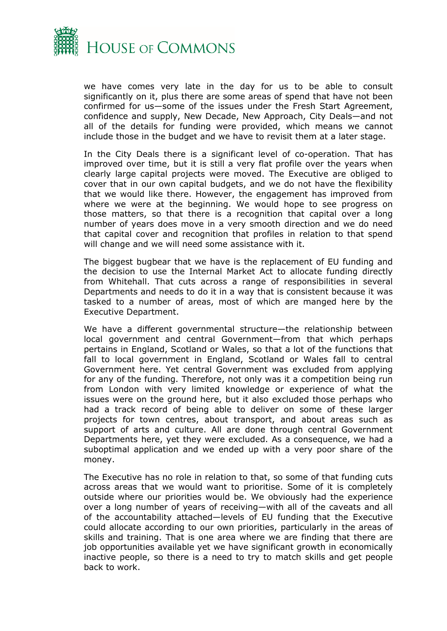

we have comes very late in the day for us to be able to consult significantly on it, plus there are some areas of spend that have not been confirmed for us—some of the issues under the Fresh Start Agreement, confidence and supply, New Decade, New Approach, City Deals—and not all of the details for funding were provided, which means we cannot include those in the budget and we have to revisit them at a later stage.

In the City Deals there is a significant level of co-operation. That has improved over time, but it is still a very flat profile over the years when clearly large capital projects were moved. The Executive are obliged to cover that in our own capital budgets, and we do not have the flexibility that we would like there. However, the engagement has improved from where we were at the beginning. We would hope to see progress on those matters, so that there is a recognition that capital over a long number of years does move in a very smooth direction and we do need that capital cover and recognition that profiles in relation to that spend will change and we will need some assistance with it.

The biggest bugbear that we have is the replacement of EU funding and the decision to use the Internal Market Act to allocate funding directly from Whitehall. That cuts across a range of responsibilities in several Departments and needs to do it in a way that is consistent because it was tasked to a number of areas, most of which are manged here by the Executive Department.

We have a different governmental structure—the relationship between local government and central Government—from that which perhaps pertains in England, Scotland or Wales, so that a lot of the functions that fall to local government in England, Scotland or Wales fall to central Government here. Yet central Government was excluded from applying for any of the funding. Therefore, not only was it a competition being run from London with very limited knowledge or experience of what the issues were on the ground here, but it also excluded those perhaps who had a track record of being able to deliver on some of these larger projects for town centres, about transport, and about areas such as support of arts and culture. All are done through central Government Departments here, yet they were excluded. As a consequence, we had a suboptimal application and we ended up with a very poor share of the money.

The Executive has no role in relation to that, so some of that funding cuts across areas that we would want to prioritise. Some of it is completely outside where our priorities would be. We obviously had the experience over a long number of years of receiving—with all of the caveats and all of the accountability attached—levels of EU funding that the Executive could allocate according to our own priorities, particularly in the areas of skills and training. That is one area where we are finding that there are job opportunities available yet we have significant growth in economically inactive people, so there is a need to try to match skills and get people back to work.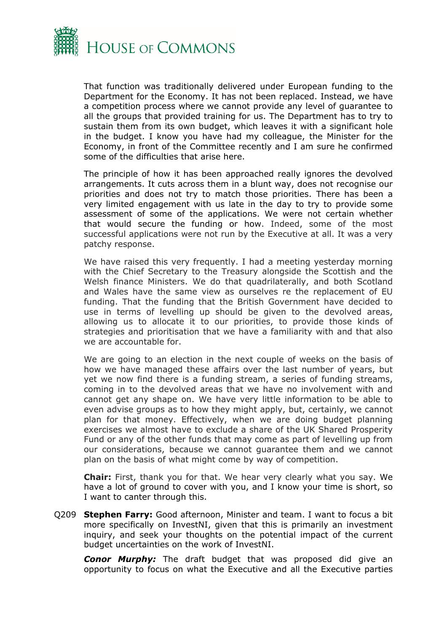

That function was traditionally delivered under European funding to the Department for the Economy. It has not been replaced. Instead, we have a competition process where we cannot provide any level of guarantee to all the groups that provided training for us. The Department has to try to sustain them from its own budget, which leaves it with a significant hole in the budget. I know you have had my colleague, the Minister for the Economy, in front of the Committee recently and I am sure he confirmed some of the difficulties that arise here.

The principle of how it has been approached really ignores the devolved arrangements. It cuts across them in a blunt way, does not recognise our priorities and does not try to match those priorities. There has been a very limited engagement with us late in the day to try to provide some assessment of some of the applications. We were not certain whether that would secure the funding or how. Indeed, some of the most successful applications were not run by the Executive at all. It was a very patchy response.

We have raised this very frequently. I had a meeting yesterday morning with the Chief Secretary to the Treasury alongside the Scottish and the Welsh finance Ministers. We do that quadrilaterally, and both Scotland and Wales have the same view as ourselves re the replacement of EU funding. That the funding that the British Government have decided to use in terms of levelling up should be given to the devolved areas, allowing us to allocate it to our priorities, to provide those kinds of strategies and prioritisation that we have a familiarity with and that also we are accountable for.

We are going to an election in the next couple of weeks on the basis of how we have managed these affairs over the last number of years, but yet we now find there is a funding stream, a series of funding streams, coming in to the devolved areas that we have no involvement with and cannot get any shape on. We have very little information to be able to even advise groups as to how they might apply, but, certainly, we cannot plan for that money. Effectively, when we are doing budget planning exercises we almost have to exclude a share of the UK Shared Prosperity Fund or any of the other funds that may come as part of levelling up from our considerations, because we cannot guarantee them and we cannot plan on the basis of what might come by way of competition.

**Chair:** First, thank you for that. We hear very clearly what you say. We have a lot of ground to cover with you, and I know your time is short, so I want to canter through this.

Q209 **Stephen Farry:** Good afternoon, Minister and team. I want to focus a bit more specifically on InvestNI, given that this is primarily an investment inquiry, and seek your thoughts on the potential impact of the current budget uncertainties on the work of InvestNI.

*Conor Murphy:* The draft budget that was proposed did give an opportunity to focus on what the Executive and all the Executive parties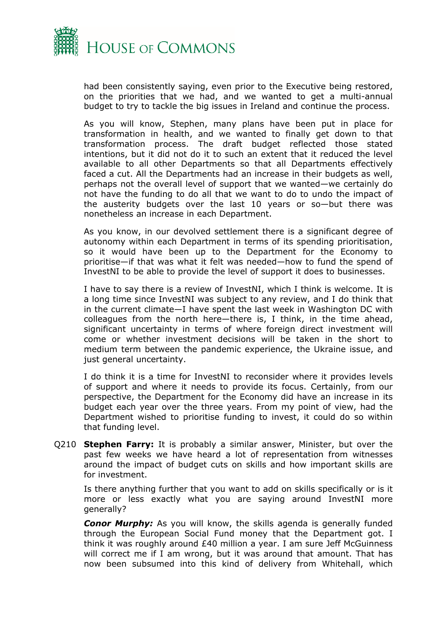

had been consistently saying, even prior to the Executive being restored, on the priorities that we had, and we wanted to get a multi-annual budget to try to tackle the big issues in Ireland and continue the process.

As you will know, Stephen, many plans have been put in place for transformation in health, and we wanted to finally get down to that transformation process. The draft budget reflected those stated intentions, but it did not do it to such an extent that it reduced the level available to all other Departments so that all Departments effectively faced a cut. All the Departments had an increase in their budgets as well, perhaps not the overall level of support that we wanted—we certainly do not have the funding to do all that we want to do to undo the impact of the austerity budgets over the last 10 years or so—but there was nonetheless an increase in each Department.

As you know, in our devolved settlement there is a significant degree of autonomy within each Department in terms of its spending prioritisation, so it would have been up to the Department for the Economy to prioritise—if that was what it felt was needed—how to fund the spend of InvestNI to be able to provide the level of support it does to businesses.

I have to say there is a review of InvestNI, which I think is welcome. It is a long time since InvestNI was subject to any review, and I do think that in the current climate—I have spent the last week in Washington DC with colleagues from the north here—there is, I think, in the time ahead, significant uncertainty in terms of where foreign direct investment will come or whether investment decisions will be taken in the short to medium term between the pandemic experience, the Ukraine issue, and just general uncertainty.

I do think it is a time for InvestNI to reconsider where it provides levels of support and where it needs to provide its focus. Certainly, from our perspective, the Department for the Economy did have an increase in its budget each year over the three years. From my point of view, had the Department wished to prioritise funding to invest, it could do so within that funding level.

Q210 **Stephen Farry:** It is probably a similar answer, Minister, but over the past few weeks we have heard a lot of representation from witnesses around the impact of budget cuts on skills and how important skills are for investment.

Is there anything further that you want to add on skills specifically or is it more or less exactly what you are saying around InvestNI more generally?

*Conor Murphy:* As you will know, the skills agenda is generally funded through the European Social Fund money that the Department got. I think it was roughly around £40 million a year. I am sure Jeff McGuinness will correct me if I am wrong, but it was around that amount. That has now been subsumed into this kind of delivery from Whitehall, which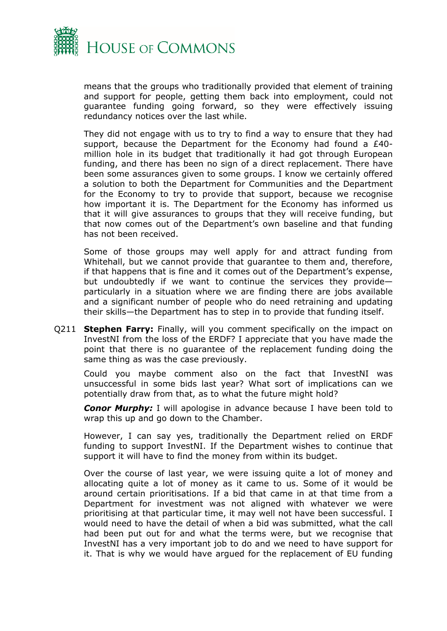

means that the groups who traditionally provided that element of training and support for people, getting them back into employment, could not guarantee funding going forward, so they were effectively issuing redundancy notices over the last while.

They did not engage with us to try to find a way to ensure that they had support, because the Department for the Economy had found a £40 million hole in its budget that traditionally it had got through European funding, and there has been no sign of a direct replacement. There have been some assurances given to some groups. I know we certainly offered a solution to both the Department for Communities and the Department for the Economy to try to provide that support, because we recognise how important it is. The Department for the Economy has informed us that it will give assurances to groups that they will receive funding, but that now comes out of the Department's own baseline and that funding has not been received.

Some of those groups may well apply for and attract funding from Whitehall, but we cannot provide that guarantee to them and, therefore, if that happens that is fine and it comes out of the Department's expense, but undoubtedly if we want to continue the services they provide particularly in a situation where we are finding there are jobs available and a significant number of people who do need retraining and updating their skills—the Department has to step in to provide that funding itself.

Q211 **Stephen Farry:** Finally, will you comment specifically on the impact on InvestNI from the loss of the ERDF? I appreciate that you have made the point that there is no guarantee of the replacement funding doing the same thing as was the case previously.

Could you maybe comment also on the fact that InvestNI was unsuccessful in some bids last year? What sort of implications can we potentially draw from that, as to what the future might hold?

**Conor Murphy:** I will apologise in advance because I have been told to wrap this up and go down to the Chamber.

However, I can say yes, traditionally the Department relied on ERDF funding to support InvestNI. If the Department wishes to continue that support it will have to find the money from within its budget.

Over the course of last year, we were issuing quite a lot of money and allocating quite a lot of money as it came to us. Some of it would be around certain prioritisations. If a bid that came in at that time from a Department for investment was not aligned with whatever we were prioritising at that particular time, it may well not have been successful. I would need to have the detail of when a bid was submitted, what the call had been put out for and what the terms were, but we recognise that InvestNI has a very important job to do and we need to have support for it. That is why we would have argued for the replacement of EU funding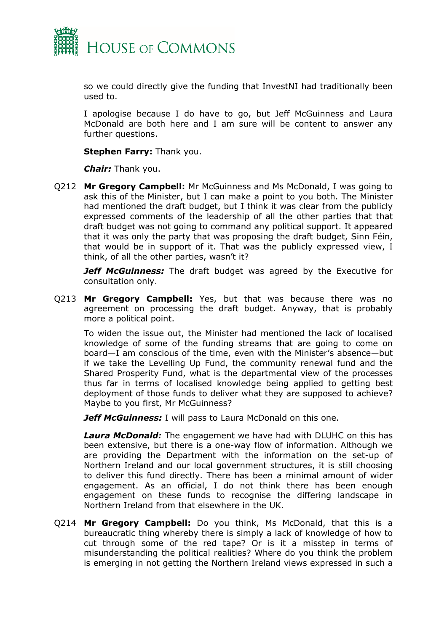

so we could directly give the funding that InvestNI had traditionally been used to.

I apologise because I do have to go, but Jeff McGuinness and Laura McDonald are both here and I am sure will be content to answer any further questions.

**Stephen Farry:** Thank you.

*Chair:* Thank you.

Q212 **Mr Gregory Campbell:** Mr McGuinness and Ms McDonald, I was going to ask this of the Minister, but I can make a point to you both. The Minister had mentioned the draft budget, but I think it was clear from the publicly expressed comments of the leadership of all the other parties that that draft budget was not going to command any political support. It appeared that it was only the party that was proposing the draft budget, Sinn Féin, that would be in support of it. That was the publicly expressed view, I think, of all the other parties, wasn't it?

*Jeff McGuinness:* The draft budget was agreed by the Executive for consultation only.

Q213 **Mr Gregory Campbell:** Yes, but that was because there was no agreement on processing the draft budget. Anyway, that is probably more a political point.

To widen the issue out, the Minister had mentioned the lack of localised knowledge of some of the funding streams that are going to come on board—I am conscious of the time, even with the Minister's absence—but if we take the Levelling Up Fund, the community renewal fund and the Shared Prosperity Fund, what is the departmental view of the processes thus far in terms of localised knowledge being applied to getting best deployment of those funds to deliver what they are supposed to achieve? Maybe to you first, Mr McGuinness?

*Jeff McGuinness:* I will pass to Laura McDonald on this one.

*Laura McDonald:* The engagement we have had with DLUHC on this has been extensive, but there is a one-way flow of information. Although we are providing the Department with the information on the set-up of Northern Ireland and our local government structures, it is still choosing to deliver this fund directly. There has been a minimal amount of wider engagement. As an official, I do not think there has been enough engagement on these funds to recognise the differing landscape in Northern Ireland from that elsewhere in the UK.

Q214 **Mr Gregory Campbell:** Do you think, Ms McDonald, that this is a bureaucratic thing whereby there is simply a lack of knowledge of how to cut through some of the red tape? Or is it a misstep in terms of misunderstanding the political realities? Where do you think the problem is emerging in not getting the Northern Ireland views expressed in such a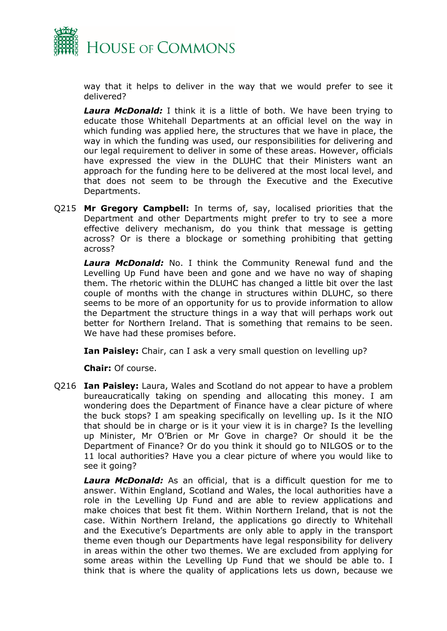

way that it helps to deliver in the way that we would prefer to see it delivered?

*Laura McDonald:* I think it is a little of both. We have been trying to educate those Whitehall Departments at an official level on the way in which funding was applied here, the structures that we have in place, the way in which the funding was used, our responsibilities for delivering and our legal requirement to deliver in some of these areas. However, officials have expressed the view in the DLUHC that their Ministers want an approach for the funding here to be delivered at the most local level, and that does not seem to be through the Executive and the Executive Departments.

Q215 **Mr Gregory Campbell:** In terms of, say, localised priorities that the Department and other Departments might prefer to try to see a more effective delivery mechanism, do you think that message is getting across? Or is there a blockage or something prohibiting that getting across?

*Laura McDonald:* No. I think the Community Renewal fund and the Levelling Up Fund have been and gone and we have no way of shaping them. The rhetoric within the DLUHC has changed a little bit over the last couple of months with the change in structures within DLUHC, so there seems to be more of an opportunity for us to provide information to allow the Department the structure things in a way that will perhaps work out better for Northern Ireland. That is something that remains to be seen. We have had these promises before.

**Ian Paisley:** Chair, can I ask a very small question on levelling up?

**Chair:** Of course.

Q216 **Ian Paisley:** Laura, Wales and Scotland do not appear to have a problem bureaucratically taking on spending and allocating this money. I am wondering does the Department of Finance have a clear picture of where the buck stops? I am speaking specifically on levelling up. Is it the NIO that should be in charge or is it your view it is in charge? Is the levelling up Minister, Mr O'Brien or Mr Gove in charge? Or should it be the Department of Finance? Or do you think it should go to NILGOS or to the 11 local authorities? Have you a clear picture of where you would like to see it going?

*Laura McDonald:* As an official, that is a difficult question for me to answer. Within England, Scotland and Wales, the local authorities have a role in the Levelling Up Fund and are able to review applications and make choices that best fit them. Within Northern Ireland, that is not the case. Within Northern Ireland, the applications go directly to Whitehall and the Executive's Departments are only able to apply in the transport theme even though our Departments have legal responsibility for delivery in areas within the other two themes. We are excluded from applying for some areas within the Levelling Up Fund that we should be able to. I think that is where the quality of applications lets us down, because we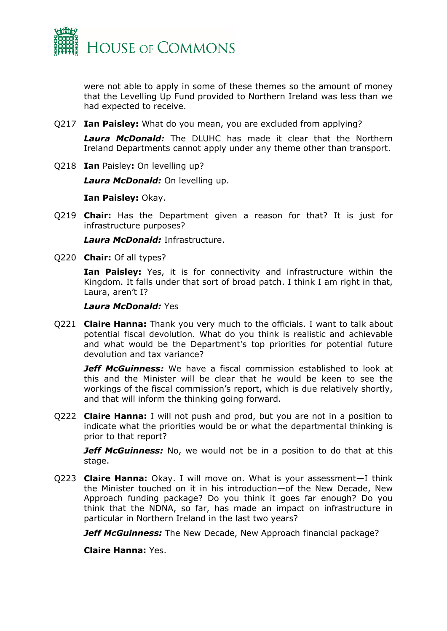

were not able to apply in some of these themes so the amount of money that the Levelling Up Fund provided to Northern Ireland was less than we had expected to receive.

Q217 **Ian Paisley:** What do you mean, you are excluded from applying?

*Laura McDonald:* The DLUHC has made it clear that the Northern Ireland Departments cannot apply under any theme other than transport.

Q218 **Ian** Paisley**:** On levelling up?

*Laura McDonald:* On levelling up.

**Ian Paisley:** Okay.

Q219 **Chair:** Has the Department given a reason for that? It is just for infrastructure purposes?

*Laura McDonald:* Infrastructure.

Q220 **Chair:** Of all types?

**Ian Paisley:** Yes, it is for connectivity and infrastructure within the Kingdom. It falls under that sort of broad patch. I think I am right in that, Laura, aren't I?

#### *Laura McDonald:* Yes

Q221 **Claire Hanna:** Thank you very much to the officials. I want to talk about potential fiscal devolution. What do you think is realistic and achievable and what would be the Department's top priorities for potential future devolution and tax variance?

*Jeff McGuinness:* We have a fiscal commission established to look at this and the Minister will be clear that he would be keen to see the workings of the fiscal commission's report, which is due relatively shortly, and that will inform the thinking going forward.

Q222 **Claire Hanna:** I will not push and prod, but you are not in a position to indicate what the priorities would be or what the departmental thinking is prior to that report?

*Jeff McGuinness:* No, we would not be in a position to do that at this stage.

Q223 **Claire Hanna:** Okay. I will move on. What is your assessment—I think the Minister touched on it in his introduction—of the New Decade, New Approach funding package? Do you think it goes far enough? Do you think that the NDNA, so far, has made an impact on infrastructure in particular in Northern Ireland in the last two years?

*Jeff McGuinness:* The New Decade, New Approach financial package?

**Claire Hanna:** Yes.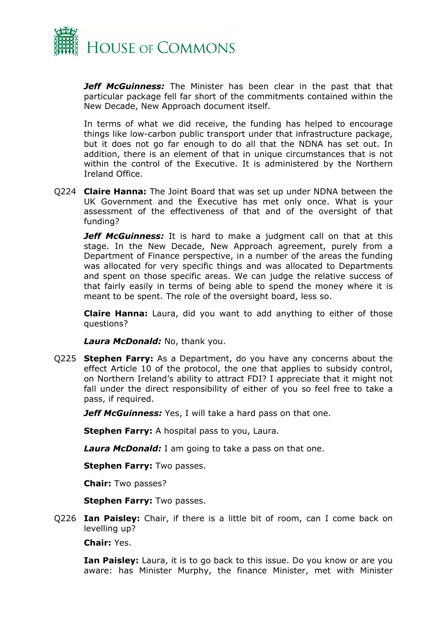

*Jeff McGuinness:* The Minister has been clear in the past that that particular package fell far short of the commitments contained within the New Decade, New Approach document itself.

In terms of what we did receive, the funding has helped to encourage things like low-carbon public transport under that infrastructure package, but it does not go far enough to do all that the NDNA has set out. In addition, there is an element of that in unique circumstances that is not within the control of the Executive. It is administered by the Northern Ireland Office.

Q224 **Claire Hanna:** The Joint Board that was set up under NDNA between the UK Government and the Executive has met only once. What is your assessment of the effectiveness of that and of the oversight of that funding?

*Jeff McGuinness:* It is hard to make a judgment call on that at this stage. In the New Decade, New Approach agreement, purely from a Department of Finance perspective, in a number of the areas the funding was allocated for very specific things and was allocated to Departments and spent on those specific areas. We can judge the relative success of that fairly easily in terms of being able to spend the money where it is meant to be spent. The role of the oversight board, less so.

**Claire Hanna:** Laura, did you want to add anything to either of those questions?

*Laura McDonald:* No, thank you.

Q225 **Stephen Farry:** As a Department, do you have any concerns about the effect Article 10 of the protocol, the one that applies to subsidy control, on Northern Ireland's ability to attract FDI? I appreciate that it might not fall under the direct responsibility of either of you so feel free to take a pass, if required.

*Jeff McGuinness:* Yes, I will take a hard pass on that one.

**Stephen Farry:** A hospital pass to you, Laura.

*Laura McDonald:* I am going to take a pass on that one.

**Stephen Farry:** Two passes.

**Chair:** Two passes?

**Stephen Farry:** Two passes.

Q226 **Ian Paisley:** Chair, if there is a little bit of room, can I come back on levelling up?

**Chair:** Yes.

**Ian Paisley:** Laura, it is to go back to this issue. Do you know or are you aware: has Minister Murphy, the finance Minister, met with Minister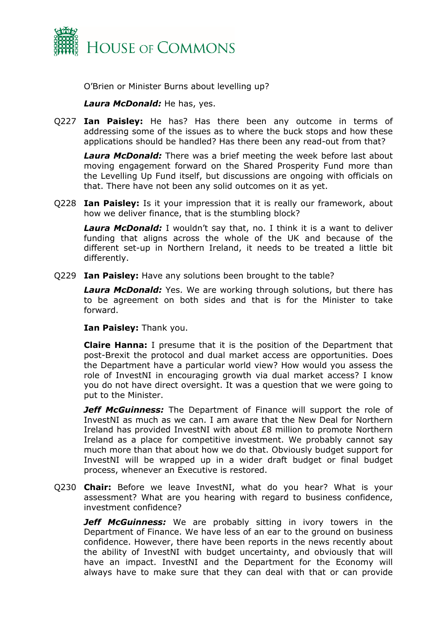

O'Brien or Minister Burns about levelling up?

## *Laura McDonald:* He has, yes.

Q227 **Ian Paisley:** He has? Has there been any outcome in terms of addressing some of the issues as to where the buck stops and how these applications should be handled? Has there been any read-out from that?

*Laura McDonald:* There was a brief meeting the week before last about moving engagement forward on the Shared Prosperity Fund more than the Levelling Up Fund itself, but discussions are ongoing with officials on that. There have not been any solid outcomes on it as yet.

Q228 **Ian Paisley:** Is it your impression that it is really our framework, about how we deliver finance, that is the stumbling block?

*Laura McDonald:* I wouldn't say that, no. I think it is a want to deliver funding that aligns across the whole of the UK and because of the different set-up in Northern Ireland, it needs to be treated a little bit differently.

Q229 **Ian Paisley:** Have any solutions been brought to the table?

*Laura McDonald:* Yes. We are working through solutions, but there has to be agreement on both sides and that is for the Minister to take forward.

**Ian Paisley:** Thank you.

**Claire Hanna:** I presume that it is the position of the Department that post-Brexit the protocol and dual market access are opportunities. Does the Department have a particular world view? How would you assess the role of InvestNI in encouraging growth via dual market access? I know you do not have direct oversight. It was a question that we were going to put to the Minister.

*Jeff McGuinness:* The Department of Finance will support the role of InvestNI as much as we can. I am aware that the New Deal for Northern Ireland has provided InvestNI with about £8 million to promote Northern Ireland as a place for competitive investment. We probably cannot say much more than that about how we do that. Obviously budget support for InvestNI will be wrapped up in a wider draft budget or final budget process, whenever an Executive is restored.

Q230 **Chair:** Before we leave InvestNI, what do you hear? What is your assessment? What are you hearing with regard to business confidence, investment confidence?

*Jeff McGuinness:* We are probably sitting in ivory towers in the Department of Finance. We have less of an ear to the ground on business confidence. However, there have been reports in the news recently about the ability of InvestNI with budget uncertainty, and obviously that will have an impact. InvestNI and the Department for the Economy will always have to make sure that they can deal with that or can provide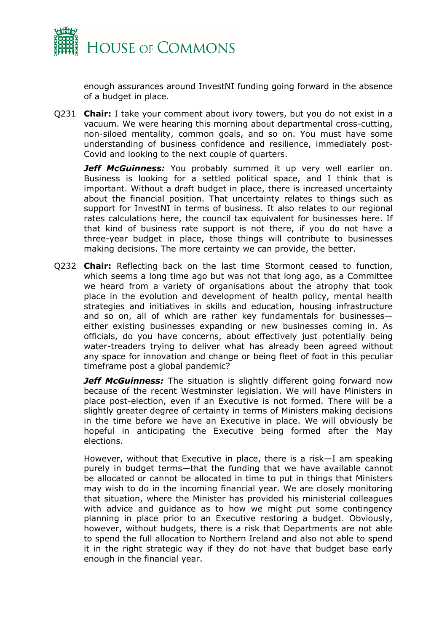

enough assurances around InvestNI funding going forward in the absence of a budget in place.

Q231 **Chair:** I take your comment about ivory towers, but you do not exist in a vacuum. We were hearing this morning about departmental cross-cutting, non-siloed mentality, common goals, and so on. You must have some understanding of business confidence and resilience, immediately post-Covid and looking to the next couple of quarters.

*Jeff McGuinness:* You probably summed it up very well earlier on. Business is looking for a settled political space, and I think that is important. Without a draft budget in place, there is increased uncertainty about the financial position. That uncertainty relates to things such as support for InvestNI in terms of business. It also relates to our regional rates calculations here, the council tax equivalent for businesses here. If that kind of business rate support is not there, if you do not have a three-year budget in place, those things will contribute to businesses making decisions. The more certainty we can provide, the better.

Q232 **Chair:** Reflecting back on the last time Stormont ceased to function, which seems a long time ago but was not that long ago, as a Committee we heard from a variety of organisations about the atrophy that took place in the evolution and development of health policy, mental health strategies and initiatives in skills and education, housing infrastructure and so on, all of which are rather key fundamentals for businesses either existing businesses expanding or new businesses coming in. As officials, do you have concerns, about effectively just potentially being water-treaders trying to deliver what has already been agreed without any space for innovation and change or being fleet of foot in this peculiar timeframe post a global pandemic?

*Jeff McGuinness:* The situation is slightly different going forward now because of the recent Westminster legislation. We will have Ministers in place post-election, even if an Executive is not formed. There will be a slightly greater degree of certainty in terms of Ministers making decisions in the time before we have an Executive in place. We will obviously be hopeful in anticipating the Executive being formed after the May elections.

However, without that Executive in place, there is a risk—I am speaking purely in budget terms—that the funding that we have available cannot be allocated or cannot be allocated in time to put in things that Ministers may wish to do in the incoming financial year. We are closely monitoring that situation, where the Minister has provided his ministerial colleagues with advice and guidance as to how we might put some contingency planning in place prior to an Executive restoring a budget. Obviously, however, without budgets, there is a risk that Departments are not able to spend the full allocation to Northern Ireland and also not able to spend it in the right strategic way if they do not have that budget base early enough in the financial year.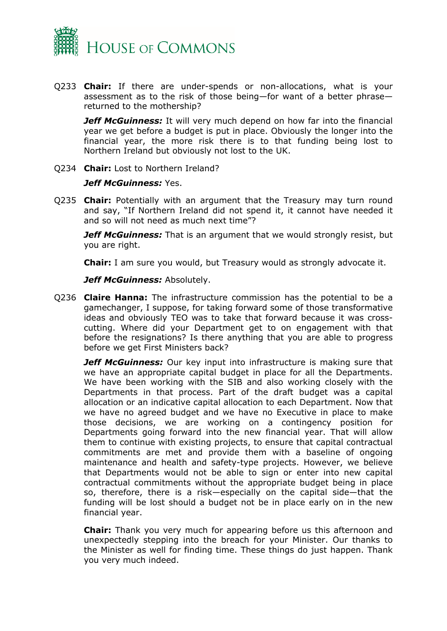

Q233 **Chair:** If there are under-spends or non-allocations, what is your assessment as to the risk of those being—for want of a better phrase returned to the mothership?

*Jeff McGuinness:* It will very much depend on how far into the financial year we get before a budget is put in place. Obviously the longer into the financial year, the more risk there is to that funding being lost to Northern Ireland but obviously not lost to the UK.

Q234 **Chair:** Lost to Northern Ireland?

### *Jeff McGuinness:* Yes.

Q235 **Chair:** Potentially with an argument that the Treasury may turn round and say, "If Northern Ireland did not spend it, it cannot have needed it and so will not need as much next time"?

*Jeff McGuinness:* That is an argument that we would strongly resist, but you are right.

**Chair:** I am sure you would, but Treasury would as strongly advocate it.

*Jeff McGuinness:* Absolutely.

Q236 **Claire Hanna:** The infrastructure commission has the potential to be a gamechanger, I suppose, for taking forward some of those transformative ideas and obviously TEO was to take that forward because it was crosscutting. Where did your Department get to on engagement with that before the resignations? Is there anything that you are able to progress before we get First Ministers back?

*Jeff McGuinness:* Our key input into infrastructure is making sure that we have an appropriate capital budget in place for all the Departments. We have been working with the SIB and also working closely with the Departments in that process. Part of the draft budget was a capital allocation or an indicative capital allocation to each Department. Now that we have no agreed budget and we have no Executive in place to make those decisions, we are working on a contingency position for Departments going forward into the new financial year. That will allow them to continue with existing projects, to ensure that capital contractual commitments are met and provide them with a baseline of ongoing maintenance and health and safety-type projects. However, we believe that Departments would not be able to sign or enter into new capital contractual commitments without the appropriate budget being in place so, therefore, there is a risk—especially on the capital side—that the funding will be lost should a budget not be in place early on in the new financial year.

**Chair:** Thank you very much for appearing before us this afternoon and unexpectedly stepping into the breach for your Minister. Our thanks to the Minister as well for finding time. These things do just happen. Thank you very much indeed.